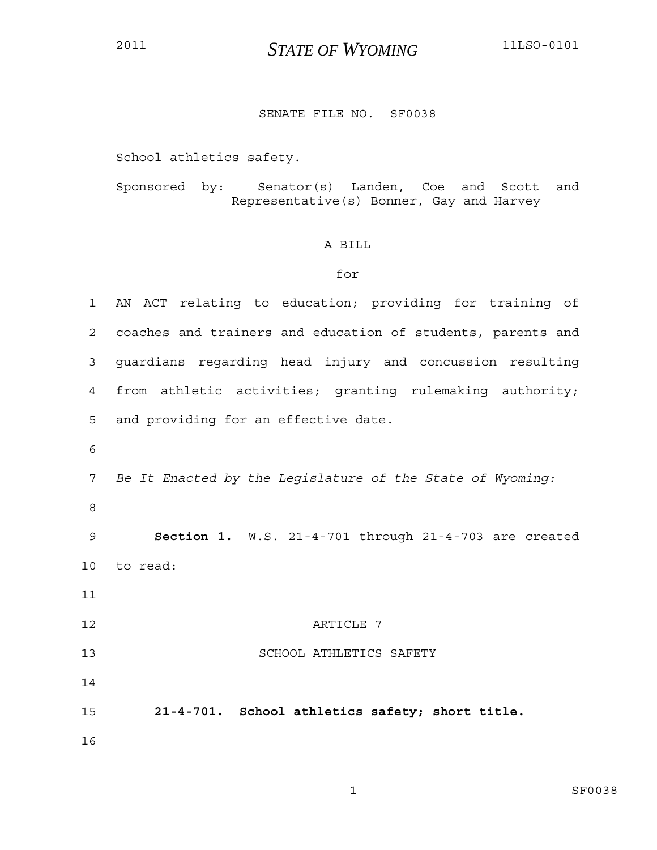## <sup>2011</sup>*STATE OF WYOMING* 11LSO-0101

## SENATE FILE NO. SF0038

School athletics safety.

Sponsored by: Senator(s) Landen, Coe and Scott and Representative(s) Bonner, Gay and Harvey

## A BILL

## for

| $\mathbf 1$ | AN ACT relating to education; providing for training of     |
|-------------|-------------------------------------------------------------|
| 2           | coaches and trainers and education of students, parents and |
| 3           | quardians regarding head injury and concussion resulting    |
| 4           | from athletic activities; granting rulemaking authority;    |
| 5           | and providing for an effective date.                        |
| $\epsilon$  |                                                             |
| 7           | Be It Enacted by the Legislature of the State of Wyoming:   |
| 8           |                                                             |
|             |                                                             |
| $\mathsf 9$ | Section 1. W.S. 21-4-701 through 21-4-703 are created       |
| 10          | to read:                                                    |
| 11          |                                                             |
| 12          | ARTICLE 7                                                   |
|             | SCHOOL ATHLETICS SAFETY                                     |
| 13<br>14    |                                                             |
| 15          | 21-4-701. School athletics safety; short title.             |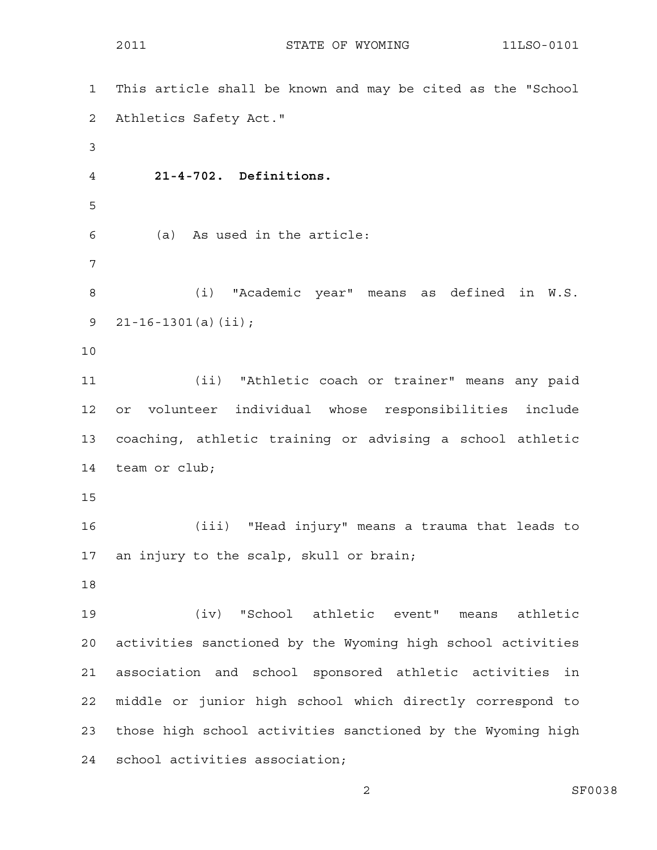```
2011 STATE OF WYOMING 11LSO-0101
1 This article shall be known and may be cited as the "School 
2 Athletics Safety Act." 
3 
4 21-4-702. Definitions.
5 
6 (a) As used in the article: 
7 
8 (i) "Academic year" means as defined in W.S. 
9 21-16-1301(a)(ii);10 
11 (ii) "Athletic coach or trainer" means any paid 
12 or volunteer individual whose responsibilities include 
13 coaching, athletic training or advising a school athletic 
14 team or club; 
15 
16 (iii) "Head injury" means a trauma that leads to 
17 an injury to the scalp, skull or brain;
18 
19 (iv) "School athletic event" means athletic 
20 activities sanctioned by the Wyoming high school activities 
21 association and school sponsored athletic activities in 
22 middle or junior high school which directly correspond to 
23 those high school activities sanctioned by the Wyoming high 
24 school activities association;
```
**2** SF0038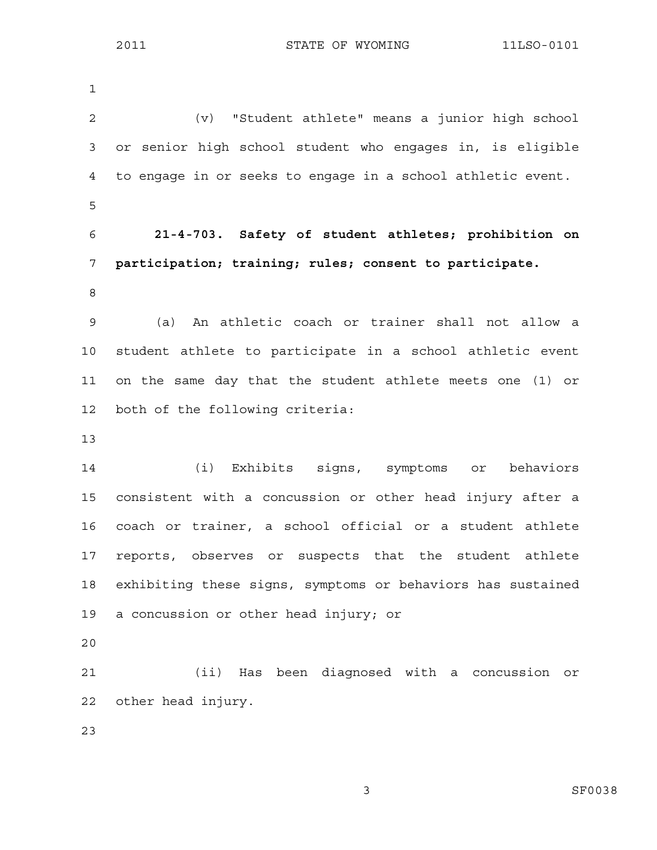1

2 (v) "Student athlete" means a junior high school 3 or senior high school student who engages in, is eligible 4 to engage in or seeks to engage in a school athletic event. 5 6 **21-4-703. Safety of student athletes; prohibition on**  7 **participation; training; rules; consent to participate.** 8 9 (a) An athletic coach or trainer shall not allow a 10 student athlete to participate in a school athletic event 11 on the same day that the student athlete meets one (1) or 12 both of the following criteria: 13 14 (i) Exhibits signs, symptoms or behaviors 15 consistent with a concussion or other head injury after a 16 coach or trainer, a school official or a student athlete 17 reports, observes or suspects that the student athlete 18 exhibiting these signs, symptoms or behaviors has sustained 19 a concussion or other head injury; or 20 21 (ii) Has been diagnosed with a concussion or 22 other head injury. 23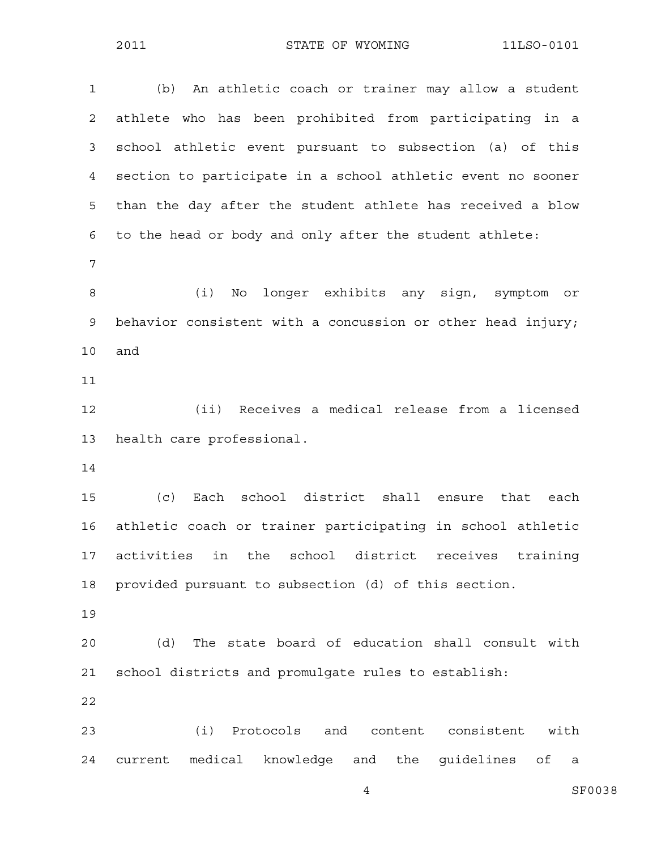1 (b) An athletic coach or trainer may allow a student 2 athlete who has been prohibited from participating in a 3 school athletic event pursuant to subsection (a) of this 4 section to participate in a school athletic event no sooner 5 than the day after the student athlete has received a blow 6 to the head or body and only after the student athlete: 7 8 (i) No longer exhibits any sign, symptom or 9 behavior consistent with a concussion or other head injury; 10 and 11 12 (ii) Receives a medical release from a licensed 13 health care professional. 14 15 (c) Each school district shall ensure that each 16 athletic coach or trainer participating in school athletic 17 activities in the school district receives training 18 provided pursuant to subsection (d) of this section. 19 20 (d) The state board of education shall consult with 21 school districts and promulgate rules to establish: 22 23 (i) Protocols and content consistent with 24 current medical knowledge and the guidelines of a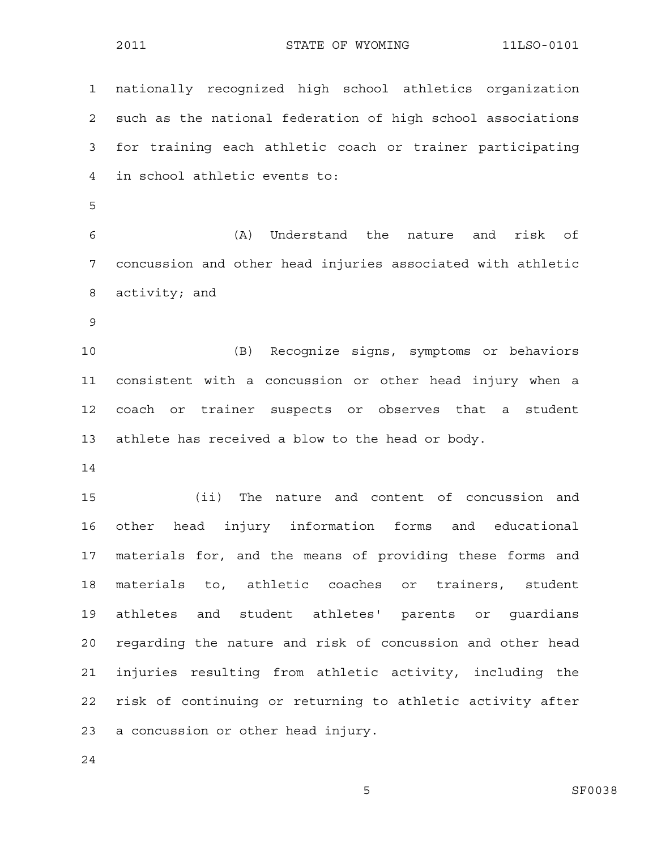2011 STATE OF WYOMING 11LSO-0101

1 nationally recognized high school athletics organization 2 such as the national federation of high school associations 3 for training each athletic coach or trainer participating 4 in school athletic events to: 5 6 (A) Understand the nature and risk of 7 concussion and other head injuries associated with athletic 8 activity; and 9 10 (B) Recognize signs, symptoms or behaviors 11 consistent with a concussion or other head injury when a 12 coach or trainer suspects or observes that a student 13 athlete has received a blow to the head or body. 14 15 (ii) The nature and content of concussion and 16 other head injury information forms and educational 17 materials for, and the means of providing these forms and 18 materials to, athletic coaches or trainers, student 19 athletes and student athletes' parents or guardians 20 regarding the nature and risk of concussion and other head 21 injuries resulting from athletic activity, including the 22 risk of continuing or returning to athletic activity after 23 a concussion or other head injury.

24